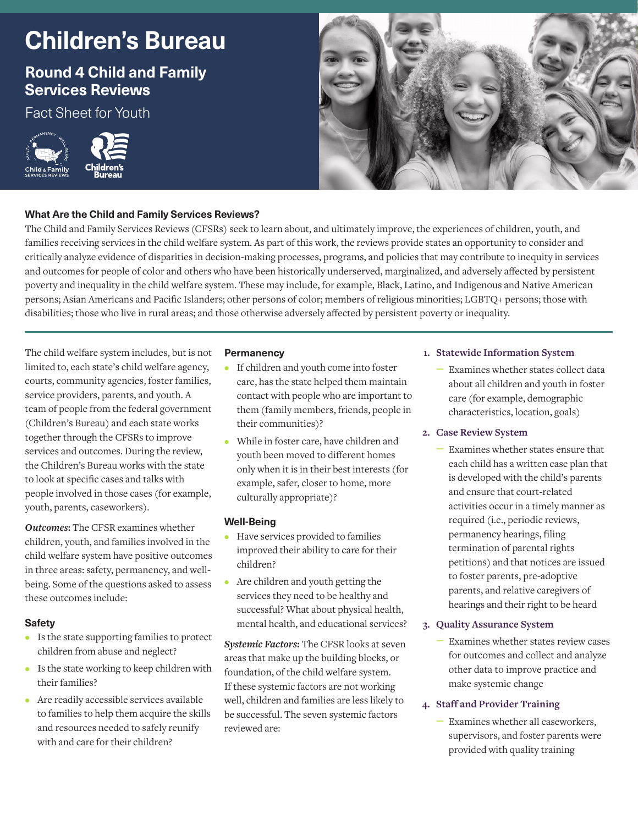# **Children's Bureau**

# **Round 4 Child and Family Services Reviews**

Fact Sheet for Youth





# **What Are the Child and Family Services Reviews?**

The Child and Family Services Reviews (CFSRs) seek to learn about, and ultimately improve, the experiences of children, youth, and families receiving services in the child welfare system. As part of this work, the reviews provide states an opportunity to consider and critically analyze evidence of disparities in decision-making processes, programs, and policies that may contribute to inequity in services and outcomes for people of color and others who have been historically underserved, marginalized, and adversely affected by persistent poverty and inequality in the child welfare system. These may include, for example, Black, Latino, and Indigenous and Native American persons; Asian Americans and Pacific Islanders; other persons of color; members of religious minorities; LGBTQ+ persons; those with disabilities; those who live in rural areas; and those otherwise adversely affected by persistent poverty or inequality.

The child welfare system includes, but is not limited to, each state's child welfare agency, courts, community agencies, foster families, service providers, parents, and youth. A team of people from the federal government (Children's Bureau) and each state works together through the CFSRs to improve services and outcomes. During the review, the Children's Bureau works with the state to look at specific cases and talks with people involved in those cases (for example, youth, parents, caseworkers).

*Outcomes***:** The CFSR examines whether children, youth, and families involved in the child welfare system have positive outcomes in three areas: safety, permanency, and wellbeing. Some of the questions asked to assess these outcomes include:

# **Safety**

- **•** Is the state supporting families to protect children from abuse and neglect?
- **•** Is the state working to keep children with their families?
- **•** Are readily accessible services available to families to help them acquire the skills and resources needed to safely reunify with and care for their children?

## **Permanency**

- **•** If children and youth come into foster care, has the state helped them maintain contact with people who are important to them (family members, friends, people in their communities)?
- **•** While in foster care, have children and youth been moved to different homes only when it is in their best interests (for example, safer, closer to home, more culturally appropriate)?

# **Well-Being**

- **•** Have services provided to families improved their ability to care for their children?
- **•** Are children and youth getting the services they need to be healthy and successful? What about physical health, mental health, and educational services?

*Systemic Factors***:** The CFSR looks at seven areas that make up the building blocks, or foundation, of the child welfare system. If these systemic factors are not working well, children and families are less likely to be successful. The seven systemic factors reviewed are:

## **1. Statewide Information System**

– Examines whether states collect data about all children and youth in foster care (for example, demographic characteristics, location, goals)

# **2. Case Review System**

– Examines whether states ensure that each child has a written case plan that is developed with the child's parents and ensure that court-related activities occur in a timely manner as required (i.e., periodic reviews, permanency hearings, filing termination of parental rights petitions) and that notices are issued to foster parents, pre-adoptive parents, and relative caregivers of hearings and their right to be heard

# **3. Quality Assurance System**

– Examines whether states review cases for outcomes and collect and analyze other data to improve practice and make systemic change

# **4. Staff and Provider Training**

– Examines whether all caseworkers, supervisors, and foster parents were provided with quality training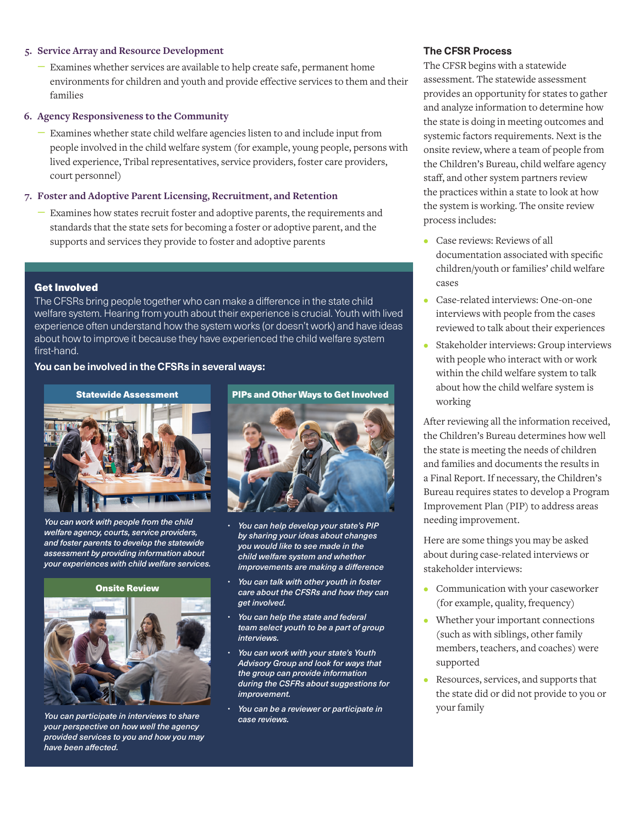#### **5. Service Array and Resource Development**

– Examines whether services are available to help create safe, permanent home environments for children and youth and provide effective services to them and their families

#### **6. Agency Responsiveness to the Community**

– Examines whether state child welfare agencies listen to and include input from people involved in the child welfare system (for example, young people, persons with lived experience, Tribal representatives, service providers, foster care providers, court personnel)

#### **7. Foster and Adoptive Parent Licensing, Recruitment, and Retention**

– Examines how states recruit foster and adoptive parents, the requirements and standards that the state sets for becoming a foster or adoptive parent, and the supports and services they provide to foster and adoptive parents

#### Get Involved

The CFSRs bring people together who can make a difference in the state child welfare system. Hearing from youth about their experience is crucial. Youth with lived experience often understand how the system works (or doesn't work) and have ideas about how to improve it because they have experienced the child welfare system first-hand.

# **You can be involved in the CFSRs in several ways:**



*You can work with people from the child welfare agency, courts, service providers, and foster parents to develop the statewide assessment by providing information about your experiences with child welfare services.*

#### Onsite Review



*You can participate in interviews to share your perspective on how well the agency provided services to you and how you may have been affected.*



- *You can help develop your state's PIP by sharing your ideas about changes you would like to see made in the child welfare system and whether improvements are making a difference*
- *You can talk with other youth in foster care about the CFSRs and how they can get involved.*
- *You can help the state and federal team select youth to be a part of group interviews.*
- *You can work with your state's Youth Advisory Group and look for ways that the group can provide information during the CSFRs about suggestions for improvement.*
- *You can be a reviewer or participate in case reviews.*

# **The CFSR Process**

The CFSR begins with a statewide assessment. The statewide assessment provides an opportunity for states to gather and analyze information to determine how the state is doing in meeting outcomes and systemic factors requirements. Next is the onsite review, where a team of people from the Children's Bureau, child welfare agency staff, and other system partners review the practices within a state to look at how the system is working. The onsite review process includes:

- **•** Case reviews: Reviews of all documentation associated with specific children/youth or families' child welfare cases
- **•** Case-related interviews: One-on-one interviews with people from the cases reviewed to talk about their experiences
- **•** Stakeholder interviews: Group interviews with people who interact with or work within the child welfare system to talk about how the child welfare system is working

After reviewing all the information received, the Children's Bureau determines how well the state is meeting the needs of children and families and documents the results in a Final Report. If necessary, the Children's Bureau requires states to develop a Program Improvement Plan (PIP) to address areas needing improvement.

Here are some things you may be asked about during case-related interviews or stakeholder interviews:

- **•** Communication with your caseworker (for example, quality, frequency)
- **•** Whether your important connections (such as with siblings, other family members, teachers, and coaches) were supported
- **•** Resources, services, and supports that the state did or did not provide to you or your family